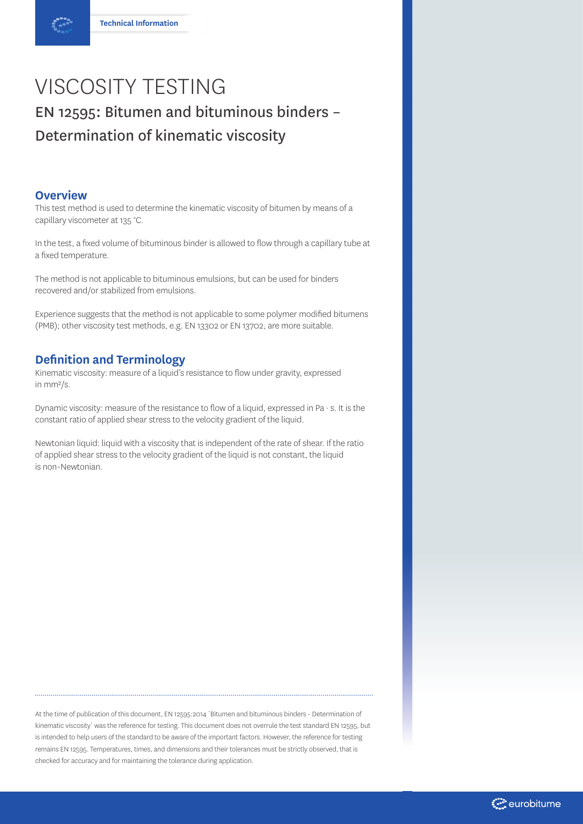# VISCOSITY TESTING EN 12595: Bitumen and bituminous binders – Determination of kinematic viscosity

## **Overview**

This test method is used to determine the kinematic viscosity of bitumen by means of a capillary viscometer at 135 °C.

In the test, a fixed volume of bituminous binder is allowed to flow through a capillary tube at a fixed temperature.

The method is not applicable to bituminous emulsions, but can be used for binders recovered and/or stabilized from emulsions.

Experience suggests that the method is not applicable to some polymer modified bitumens (PMB); other viscosity test methods, e.g. EN 13302 or EN 13702, are more suitable.

# **Definition and Terminology**

Kinematic viscosity: measure of a liquid's resistance to flow under gravity, expressed in mm²/s.

Dynamic viscosity: measure of the resistance to flow of a liquid, expressed in Pa  $\cdot$  s. It is the constant ratio of applied shear stress to the velocity gradient of the liquid.

Newtonian liquid: liquid with a viscosity that is independent of the rate of shear. If the ratio of applied shear stress to the velocity gradient of the liquid is not constant, the liquid is non-Newtonian.

At the time of publication of this document, EN 12595:2014 `Bitumen and bituminous binders - Determination of kinematic viscosity` was the reference for testing. This document does not overrule the test standard EN 12595, but is intended to help users of the standard to be aware of the important factors. However, the reference for testing remains EN 12595. Temperatures, times, and dimensions and their tolerances must be strictly observed, that is checked for accuracy and for maintaining the tolerance during application.